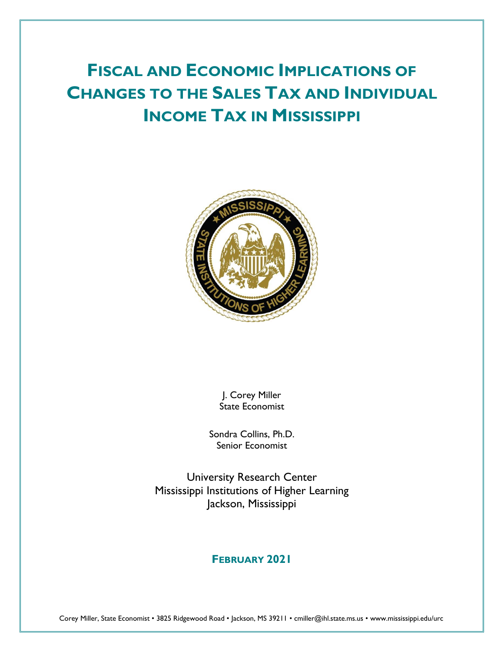# **FISCAL AND ECONOMIC IMPLICATIONS OF CHANGES TO THE SALES TAX AND INDIVIDUAL INCOME TAX IN MISSISSIPPI**



J. Corey Miller State Economist

Sondra Collins, Ph.D. Senior Economist

University Research Center Mississippi Institutions of Higher Learning Jackson, Mississippi

## **FEBRUARY 2021**

Corey Miller, State Economist • 3825 Ridgewood Road • Jackson, MS 39211 • cmiller@ihl.state.ms.us • www.mississippi.edu/urc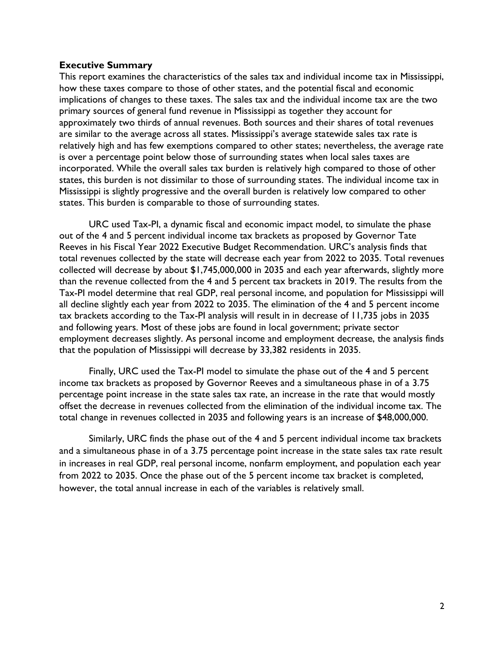#### **Executive Summary**

This report examines the characteristics of the sales tax and individual income tax in Mississippi, how these taxes compare to those of other states, and the potential fiscal and economic implications of changes to these taxes. The sales tax and the individual income tax are the two primary sources of general fund revenue in Mississippi as together they account for approximately two thirds of annual revenues. Both sources and their shares of total revenues are similar to the average across all states. Mississippi's average statewide sales tax rate is relatively high and has few exemptions compared to other states; nevertheless, the average rate is over a percentage point below those of surrounding states when local sales taxes are incorporated. While the overall sales tax burden is relatively high compared to those of other states, this burden is not dissimilar to those of surrounding states. The individual income tax in Mississippi is slightly progressive and the overall burden is relatively low compared to other states. This burden is comparable to those of surrounding states.

URC used Tax-PI, a dynamic fiscal and economic impact model, to simulate the phase out of the 4 and 5 percent individual income tax brackets as proposed by Governor Tate Reeves in his Fiscal Year 2022 Executive Budget Recommendation. URC's analysis finds that total revenues collected by the state will decrease each year from 2022 to 2035. Total revenues collected will decrease by about \$1,745,000,000 in 2035 and each year afterwards, slightly more than the revenue collected from the 4 and 5 percent tax brackets in 2019. The results from the Tax-PI model determine that real GDP, real personal income, and population for Mississippi will all decline slightly each year from 2022 to 2035. The elimination of the 4 and 5 percent income tax brackets according to the Tax-PI analysis will result in in decrease of 11,735 jobs in 2035 and following years. Most of these jobs are found in local government; private sector employment decreases slightly. As personal income and employment decrease, the analysis finds that the population of Mississippi will decrease by 33,382 residents in 2035.

Finally, URC used the Tax-PI model to simulate the phase out of the 4 and 5 percent income tax brackets as proposed by Governor Reeves and a simultaneous phase in of a 3.75 percentage point increase in the state sales tax rate, an increase in the rate that would mostly offset the decrease in revenues collected from the elimination of the individual income tax. The total change in revenues collected in 2035 and following years is an increase of \$48,000,000.

Similarly, URC finds the phase out of the 4 and 5 percent individual income tax brackets and a simultaneous phase in of a 3.75 percentage point increase in the state sales tax rate result in increases in real GDP, real personal income, nonfarm employment, and population each year from 2022 to 2035. Once the phase out of the 5 percent income tax bracket is completed, however, the total annual increase in each of the variables is relatively small.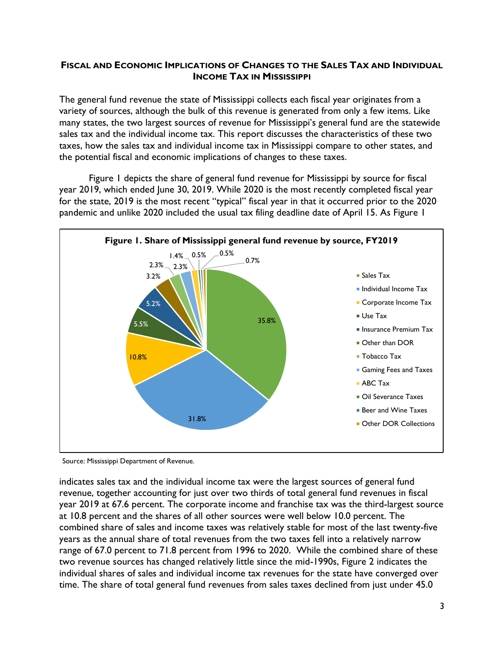### **FISCAL AND ECONOMIC IMPLICATIONS OF CHANGES TO THE SALES TAX AND INDIVIDUAL INCOME TAX IN MISSISSIPPI**

The general fund revenue the state of Mississippi collects each fiscal year originates from a variety of sources, although the bulk of this revenue is generated from only a few items. Like many states, the two largest sources of revenue for Mississippi's general fund are the statewide sales tax and the individual income tax. This report discusses the characteristics of these two taxes, how the sales tax and individual income tax in Mississippi compare to other states, and the potential fiscal and economic implications of changes to these taxes.

Figure 1 depicts the share of general fund revenue for Mississippi by source for fiscal year 2019, which ended June 30, 2019. While 2020 is the most recently completed fiscal year for the state, 2019 is the most recent "typical" fiscal year in that it occurred prior to the 2020 pandemic and unlike 2020 included the usual tax filing deadline date of April 15. As Figure 1



Source: Mississippi Department of Revenue.

indicates sales tax and the individual income tax were the largest sources of general fund revenue, together accounting for just over two thirds of total general fund revenues in fiscal year 2019 at 67.6 percent. The corporate income and franchise tax was the third-largest source at 10.8 percent and the shares of all other sources were well below 10.0 percent. The combined share of sales and income taxes was relatively stable for most of the last twenty-five years as the annual share of total revenues from the two taxes fell into a relatively narrow range of 67.0 percent to 71.8 percent from 1996 to 2020. While the combined share of these two revenue sources has changed relatively little since the mid-1990s, Figure 2 indicates the individual shares of sales and individual income tax revenues for the state have converged over time. The share of total general fund revenues from sales taxes declined from just under 45.0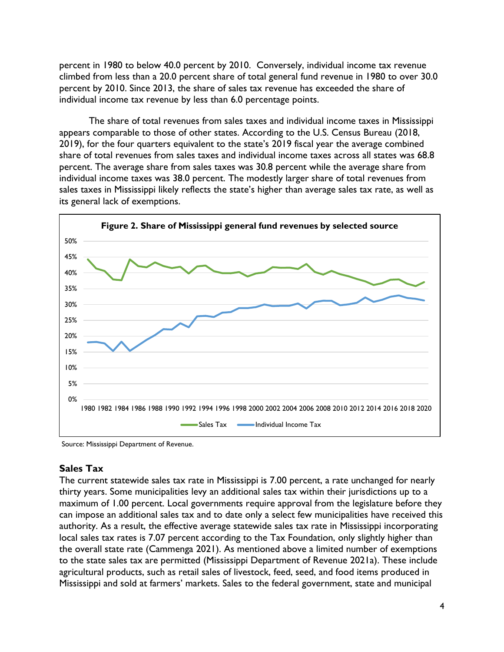percent in 1980 to below 40.0 percent by 2010. Conversely, individual income tax revenue climbed from less than a 20.0 percent share of total general fund revenue in 1980 to over 30.0 percent by 2010. Since 2013, the share of sales tax revenue has exceeded the share of individual income tax revenue by less than 6.0 percentage points.

The share of total revenues from sales taxes and individual income taxes in Mississippi appears comparable to those of other states. According to the U.S. Census Bureau (2018, 2019), for the four quarters equivalent to the state's 2019 fiscal year the average combined share of total revenues from sales taxes and individual income taxes across all states was 68.8 percent. The average share from sales taxes was 30.8 percent while the average share from individual income taxes was 38.0 percent. The modestly larger share of total revenues from sales taxes in Mississippi likely reflects the state's higher than average sales tax rate, as well as its general lack of exemptions.



Source: Mississippi Department of Revenue.

## **Sales Tax**

The current statewide sales tax rate in Mississippi is 7.00 percent, a rate unchanged for nearly thirty years. Some municipalities levy an additional sales tax within their jurisdictions up to a maximum of 1.00 percent. Local governments require approval from the legislature before they can impose an additional sales tax and to date only a select few municipalities have received this authority. As a result, the effective average statewide sales tax rate in Mississippi incorporating local sales tax rates is 7.07 percent according to the Tax Foundation, only slightly higher than the overall state rate (Cammenga 2021). As mentioned above a limited number of exemptions to the state sales tax are permitted (Mississippi Department of Revenue 2021a). These include agricultural products, such as retail sales of livestock, feed, seed, and food items produced in Mississippi and sold at farmers' markets. Sales to the federal government, state and municipal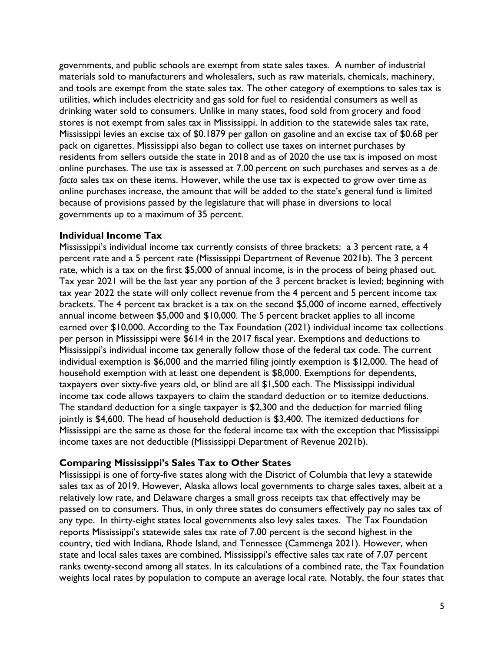governments, and public schools are exempt from state sales taxes. A number of industrial materials sold to manufacturers and wholesalers, such as raw materials, chemicals, machinery, and tools are exempt from the state sales tax. The other category of exemptions to sales tax is utilities, which includes electricity and gas sold for fuel to residential consumers as well as drinking water sold to consumers. Unlike in many states, food sold from grocery and food stores is not exempt from sales tax in Mississippi. In addition to the statewide sales tax rate, Mississippi levies an excise tax of \$0.1879 per gallon on gasoline and an excise tax of \$0.68 per pack on cigarettes. Mississippi also began to collect use taxes on internet purchases by residents from sellers outside the state in 2018 and as of 2020 the use tax is imposed on most online purchases. The use tax is assessed at 7.00 percent on such purchases and serves as a *de facto* sales tax on these items. However, while the use tax is expected to grow over time as online purchases increase, the amount that will be added to the state's general fund is limited because of provisions passed by the legislature that will phase in diversions to local governments up to a maximum of 35 percent.

### **Individual Income Tax**

Mississippi's individual income tax currently consists of three brackets: a 3 percent rate, a 4 percent rate and a 5 percent rate (Mississippi Department of Revenue 2021b). The 3 percent rate, which is a tax on the first \$5,000 of annual income, is in the process of being phased out. Tax year 2021 will be the last year any portion of the 3 percent bracket is levied; beginning with tax year 2022 the state will only collect revenue from the 4 percent and 5 percent income tax brackets. The 4 percent tax bracket is a tax on the second \$5,000 of income earned, effectively annual income between \$5,000 and \$10,000. The 5 percent bracket applies to all income earned over \$10,000. According to the Tax Foundation (2021) individual income tax collections per person in Mississippi were \$614 in the 2017 fiscal year. Exemptions and deductions to Mississippi's individual income tax generally follow those of the federal tax code. The current individual exemption is \$6,000 and the married filing jointly exemption is \$12,000. The head of household exemption with at least one dependent is \$8,000. Exemptions for dependents, taxpayers over sixty-five years old, or blind are all \$1,500 each. The Mississippi individual income tax code allows taxpayers to claim the standard deduction or to itemize deductions. The standard deduction for a single taxpayer is \$2,300 and the deduction for married filing jointly is \$4,600. The head of household deduction is \$3,400. The itemized deductions for Mississippi are the same as those for the federal income tax with the exception that Mississippi income taxes are not deductible (Mississippi Department of Revenue 2021b).

## **Comparing Mississippi's Sales Tax to Other States**

Mississippi is one of forty-five states along with the District of Columbia that levy a statewide sales tax as of 2019. However, Alaska allows local governments to charge sales taxes, albeit at a relatively low rate, and Delaware charges a small gross receipts tax that effectively may be passed on to consumers. Thus, in only three states do consumers effectively pay no sales tax of any type. In thirty-eight states local governments also levy sales taxes. The Tax Foundation reports Mississippi's statewide sales tax rate of 7.00 percent is the second highest in the country, tied with Indiana, Rhode Island, and Tennessee (Cammenga 2021). However, when state and local sales taxes are combined, Mississippi's effective sales tax rate of 7.07 percent ranks twenty-second among all states. In its calculations of a combined rate, the Tax Foundation weights local rates by population to compute an average local rate. Notably, the four states that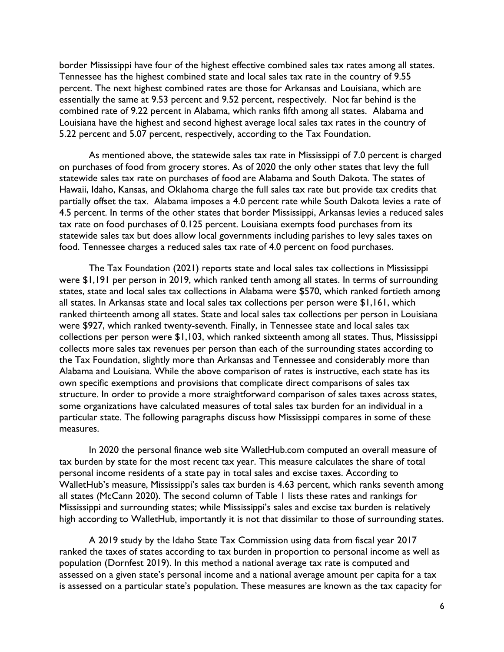border Mississippi have four of the highest effective combined sales tax rates among all states. Tennessee has the highest combined state and local sales tax rate in the country of 9.55 percent. The next highest combined rates are those for Arkansas and Louisiana, which are essentially the same at 9.53 percent and 9.52 percent, respectively. Not far behind is the combined rate of 9.22 percent in Alabama, which ranks fifth among all states. Alabama and Louisiana have the highest and second highest average local sales tax rates in the country of 5.22 percent and 5.07 percent, respectively, according to the Tax Foundation.

As mentioned above, the statewide sales tax rate in Mississippi of 7.0 percent is charged on purchases of food from grocery stores. As of 2020 the only other states that levy the full statewide sales tax rate on purchases of food are Alabama and South Dakota. The states of Hawaii, Idaho, Kansas, and Oklahoma charge the full sales tax rate but provide tax credits that partially offset the tax. Alabama imposes a 4.0 percent rate while South Dakota levies a rate of 4.5 percent. In terms of the other states that border Mississippi, Arkansas levies a reduced sales tax rate on food purchases of 0.125 percent. Louisiana exempts food purchases from its statewide sales tax but does allow local governments including parishes to levy sales taxes on food. Tennessee charges a reduced sales tax rate of 4.0 percent on food purchases.

The Tax Foundation (2021) reports state and local sales tax collections in Mississippi were \$1,191 per person in 2019, which ranked tenth among all states. In terms of surrounding states, state and local sales tax collections in Alabama were \$570, which ranked fortieth among all states. In Arkansas state and local sales tax collections per person were \$1,161, which ranked thirteenth among all states. State and local sales tax collections per person in Louisiana were \$927, which ranked twenty-seventh. Finally, in Tennessee state and local sales tax collections per person were \$1,103, which ranked sixteenth among all states. Thus, Mississippi collects more sales tax revenues per person than each of the surrounding states according to the Tax Foundation, slightly more than Arkansas and Tennessee and considerably more than Alabama and Louisiana. While the above comparison of rates is instructive, each state has its own specific exemptions and provisions that complicate direct comparisons of sales tax structure. In order to provide a more straightforward comparison of sales taxes across states, some organizations have calculated measures of total sales tax burden for an individual in a particular state. The following paragraphs discuss how Mississippi compares in some of these measures.

In 2020 the personal finance web site WalletHub.com computed an overall measure of tax burden by state for the most recent tax year. This measure calculates the share of total personal income residents of a state pay in total sales and excise taxes. According to WalletHub's measure, Mississippi's sales tax burden is 4.63 percent, which ranks seventh among all states (McCann 2020). The second column of Table 1 lists these rates and rankings for Mississippi and surrounding states; while Mississippi's sales and excise tax burden is relatively high according to WalletHub, importantly it is not that dissimilar to those of surrounding states.

A 2019 study by the Idaho State Tax Commission using data from fiscal year 2017 ranked the taxes of states according to tax burden in proportion to personal income as well as population (Dornfest 2019). In this method a national average tax rate is computed and assessed on a given state's personal income and a national average amount per capita for a tax is assessed on a particular state's population. These measures are known as the tax capacity for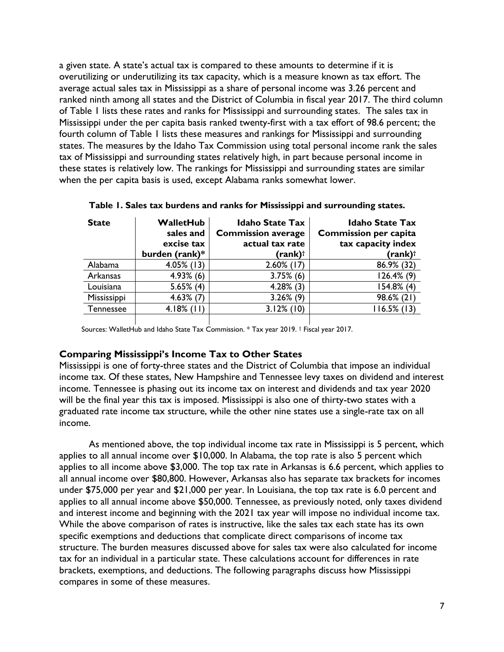a given state. A state's actual tax is compared to these amounts to determine if it is overutilizing or underutilizing its tax capacity, which is a measure known as tax effort. The average actual sales tax in Mississippi as a share of personal income was 3.26 percent and ranked ninth among all states and the District of Columbia in fiscal year 2017. The third column of Table 1 lists these rates and ranks for Mississippi and surrounding states. The sales tax in Mississippi under the per capita basis ranked twenty-first with a tax effort of 98.6 percent; the fourth column of Table 1 lists these measures and rankings for Mississippi and surrounding states. The measures by the Idaho Tax Commission using total personal income rank the sales tax of Mississippi and surrounding states relatively high, in part because personal income in these states is relatively low. The rankings for Mississippi and surrounding states are similar when the per capita basis is used, except Alabama ranks somewhat lower.

| <b>State</b>     | <b>WalletHub</b><br>sales and<br>excise tax | <b>Idaho State Tax</b><br><b>Commission average</b><br>actual tax rate | <b>Idaho State Tax</b><br><b>Commission per capita</b><br>tax capacity index |  |
|------------------|---------------------------------------------|------------------------------------------------------------------------|------------------------------------------------------------------------------|--|
|                  | burden (rank)*                              | $(rank)$ <sup>†</sup>                                                  | $(rank)$ <sup>†</sup>                                                        |  |
| Alabama          | $4.05\%$ (13)                               | $2.60\%$ (17)                                                          | 86.9% (32)                                                                   |  |
| Arkansas         | $4.93\%$ (6)                                | $3.75\%$ (6)                                                           | $126.4\%$ (9)                                                                |  |
| Louisiana        | $5.65\%$ (4)                                | $4.28\%$ (3)                                                           | $154.8%$ (4)                                                                 |  |
| Mississippi      | $4.63\%$ (7)                                | $3.26\%$ (9)                                                           | 98.6% (21)                                                                   |  |
| <b>Tennessee</b> | $4.18\%$ (11)                               | $3.12\%$ (10)                                                          | $116.5\%$ (13)                                                               |  |
|                  |                                             |                                                                        |                                                                              |  |

**Table 1. Sales tax burdens and ranks for Mississippi and surrounding states.**

Sources: WalletHub and Idaho State Tax Commission. \* Tax year 2019. † Fiscal year 2017.

#### **Comparing Mississippi's Income Tax to Other States**

Mississippi is one of forty-three states and the District of Columbia that impose an individual income tax. Of these states, New Hampshire and Tennessee levy taxes on dividend and interest income. Tennessee is phasing out its income tax on interest and dividends and tax year 2020 will be the final year this tax is imposed. Mississippi is also one of thirty-two states with a graduated rate income tax structure, while the other nine states use a single-rate tax on all income.

As mentioned above, the top individual income tax rate in Mississippi is 5 percent, which applies to all annual income over \$10,000. In Alabama, the top rate is also 5 percent which applies to all income above \$3,000. The top tax rate in Arkansas is 6.6 percent, which applies to all annual income over \$80,800. However, Arkansas also has separate tax brackets for incomes under \$75,000 per year and \$21,000 per year. In Louisiana, the top tax rate is 6.0 percent and applies to all annual income above \$50,000. Tennessee, as previously noted, only taxes dividend and interest income and beginning with the 2021 tax year will impose no individual income tax. While the above comparison of rates is instructive, like the sales tax each state has its own specific exemptions and deductions that complicate direct comparisons of income tax structure. The burden measures discussed above for sales tax were also calculated for income tax for an individual in a particular state. These calculations account for differences in rate brackets, exemptions, and deductions. The following paragraphs discuss how Mississippi compares in some of these measures.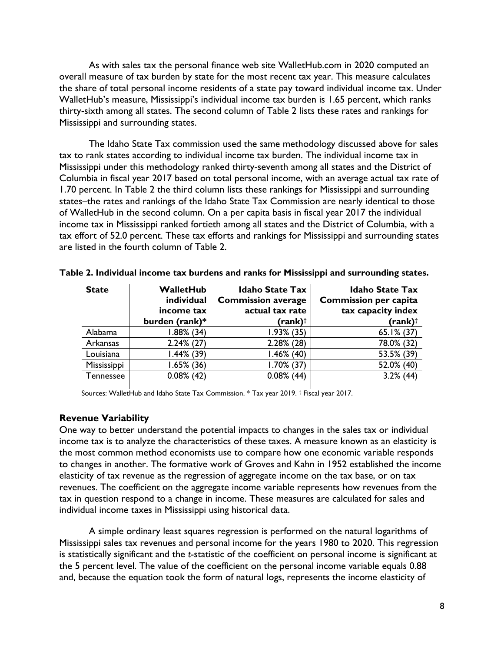As with sales tax the personal finance web site WalletHub.com in 2020 computed an overall measure of tax burden by state for the most recent tax year. This measure calculates the share of total personal income residents of a state pay toward individual income tax. Under WalletHub's measure, Mississippi's individual income tax burden is 1.65 percent, which ranks thirty-sixth among all states. The second column of Table 2 lists these rates and rankings for Mississippi and surrounding states.

The Idaho State Tax commission used the same methodology discussed above for sales tax to rank states according to individual income tax burden. The individual income tax in Mississippi under this methodology ranked thirty-seventh among all states and the District of Columbia in fiscal year 2017 based on total personal income, with an average actual tax rate of 1.70 percent. In Table 2 the third column lists these rankings for Mississippi and surrounding states–the rates and rankings of the Idaho State Tax Commission are nearly identical to those of WalletHub in the second column. On a per capita basis in fiscal year 2017 the individual income tax in Mississippi ranked fortieth among all states and the District of Columbia, with a tax effort of 52.0 percent. These tax efforts and rankings for Mississippi and surrounding states are listed in the fourth column of Table 2.

| <b>State</b> | WalletHub<br>individual<br>income tax | <b>Idaho State Tax</b><br><b>Commission average</b><br>actual tax rate | <b>Idaho State Tax</b><br><b>Commission per capita</b><br>tax capacity index |  |
|--------------|---------------------------------------|------------------------------------------------------------------------|------------------------------------------------------------------------------|--|
|              | burden (rank)*                        | (rank)†                                                                | $(rank)$ <sup>†</sup>                                                        |  |
| Alabama      | $1.88\%$ (34)                         | $1.93\%$ (35)                                                          | $65.1\%$ (37)                                                                |  |
| Arkansas     | $2.24\%$ (27)                         | $2.28\%$ (28)                                                          | 78.0% (32)                                                                   |  |
| Louisiana    | $1.44\%$ (39)                         | $1.46\%$ (40)                                                          | 53.5% (39)                                                                   |  |
| Mississippi  | $1.65\%$ (36)                         | $1.70\%$ (37)                                                          | 52.0% (40)                                                                   |  |
| Tennessee    | $0.08\%$ (42)                         | $0.08\%$ (44)                                                          | $3.2\%$ (44)                                                                 |  |
|              |                                       |                                                                        |                                                                              |  |

|  |  |  |  |  | Table 2. Individual income tax burdens and ranks for Mississippi and surrounding states. |  |
|--|--|--|--|--|------------------------------------------------------------------------------------------|--|
|  |  |  |  |  |                                                                                          |  |

Sources: WalletHub and Idaho State Tax Commission. \* Tax year 2019. † Fiscal year 2017.

#### **Revenue Variability**

One way to better understand the potential impacts to changes in the sales tax or individual income tax is to analyze the characteristics of these taxes. A measure known as an elasticity is the most common method economists use to compare how one economic variable responds to changes in another. The formative work of Groves and Kahn in 1952 established the income elasticity of tax revenue as the regression of aggregate income on the tax base, or on tax revenues. The coefficient on the aggregate income variable represents how revenues from the tax in question respond to a change in income. These measures are calculated for sales and individual income taxes in Mississippi using historical data.

A simple ordinary least squares regression is performed on the natural logarithms of Mississippi sales tax revenues and personal income for the years 1980 to 2020. This regression is statistically significant and the *t*-statistic of the coefficient on personal income is significant at the 5 percent level. The value of the coefficient on the personal income variable equals 0.88 and, because the equation took the form of natural logs, represents the income elasticity of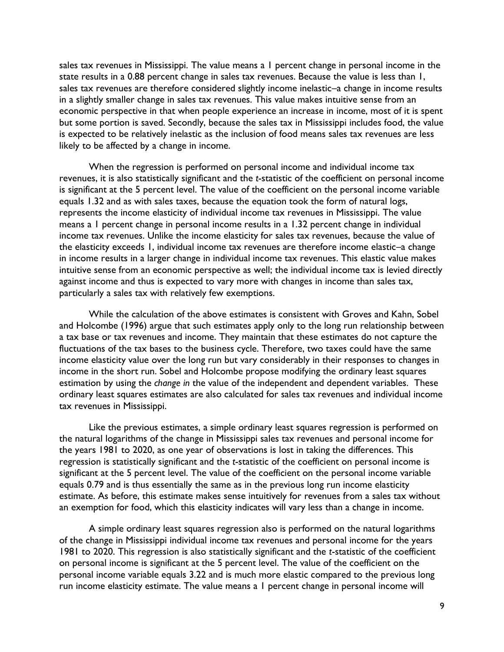sales tax revenues in Mississippi. The value means a 1 percent change in personal income in the state results in a 0.88 percent change in sales tax revenues. Because the value is less than 1, sales tax revenues are therefore considered slightly income inelastic–a change in income results in a slightly smaller change in sales tax revenues. This value makes intuitive sense from an economic perspective in that when people experience an increase in income, most of it is spent but some portion is saved. Secondly, because the sales tax in Mississippi includes food, the value is expected to be relatively inelastic as the inclusion of food means sales tax revenues are less likely to be affected by a change in income.

When the regression is performed on personal income and individual income tax revenues, it is also statistically significant and the *t*-statistic of the coefficient on personal income is significant at the 5 percent level. The value of the coefficient on the personal income variable equals 1.32 and as with sales taxes, because the equation took the form of natural logs, represents the income elasticity of individual income tax revenues in Mississippi. The value means a 1 percent change in personal income results in a 1.32 percent change in individual income tax revenues. Unlike the income elasticity for sales tax revenues, because the value of the elasticity exceeds 1, individual income tax revenues are therefore income elastic–a change in income results in a larger change in individual income tax revenues. This elastic value makes intuitive sense from an economic perspective as well; the individual income tax is levied directly against income and thus is expected to vary more with changes in income than sales tax, particularly a sales tax with relatively few exemptions.

While the calculation of the above estimates is consistent with Groves and Kahn, Sobel and Holcombe (1996) argue that such estimates apply only to the long run relationship between a tax base or tax revenues and income. They maintain that these estimates do not capture the fluctuations of the tax bases to the business cycle. Therefore, two taxes could have the same income elasticity value over the long run but vary considerably in their responses to changes in income in the short run. Sobel and Holcombe propose modifying the ordinary least squares estimation by using the *change in* the value of the independent and dependent variables. These ordinary least squares estimates are also calculated for sales tax revenues and individual income tax revenues in Mississippi.

Like the previous estimates, a simple ordinary least squares regression is performed on the natural logarithms of the change in Mississippi sales tax revenues and personal income for the years 1981 to 2020, as one year of observations is lost in taking the differences. This regression is statistically significant and the *t*-statistic of the coefficient on personal income is significant at the 5 percent level. The value of the coefficient on the personal income variable equals 0.79 and is thus essentially the same as in the previous long run income elasticity estimate. As before, this estimate makes sense intuitively for revenues from a sales tax without an exemption for food, which this elasticity indicates will vary less than a change in income.

A simple ordinary least squares regression also is performed on the natural logarithms of the change in Mississippi individual income tax revenues and personal income for the years 1981 to 2020. This regression is also statistically significant and the *t*-statistic of the coefficient on personal income is significant at the 5 percent level. The value of the coefficient on the personal income variable equals 3.22 and is much more elastic compared to the previous long run income elasticity estimate. The value means a 1 percent change in personal income will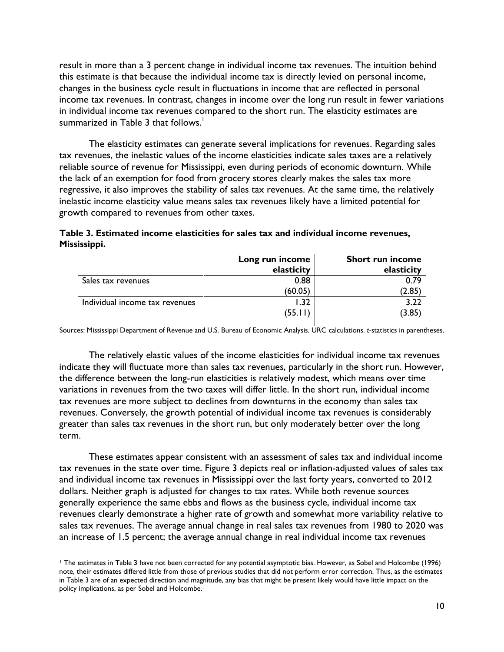result in more than a 3 percent change in individual income tax revenues. The intuition behind this estimate is that because the individual income tax is directly levied on personal income, changes in the business cycle result in fluctuations in income that are reflected in personal income tax revenues. In contrast, changes in income over the long run result in fewer variations in individual income tax revenues compared to the short run. The elasticity estimates are summarized in Table 3 that follows. 1

The elasticity estimates can generate several implications for revenues. Regarding sales tax revenues, the inelastic values of the income elasticities indicate sales taxes are a relatively reliable source of revenue for Mississippi, even during periods of economic downturn. While the lack of an exemption for food from grocery stores clearly makes the sales tax more regressive, it also improves the stability of sales tax revenues. At the same time, the relatively inelastic income elasticity value means sales tax revenues likely have a limited potential for growth compared to revenues from other taxes.

|                                | Long run income<br>elasticity | <b>Short run income</b><br>elasticity |
|--------------------------------|-------------------------------|---------------------------------------|
| Sales tax revenues             | 0.88                          | 0.79                                  |
|                                | (60.05)                       | (2.85)                                |
| Individual income tax revenues | l.32                          | 3.22                                  |
|                                | (55.II                        | (3.85)                                |
|                                |                               |                                       |

**Table 3. Estimated income elasticities for sales tax and individual income revenues, Mississippi.**

Sources: Mississippi Department of Revenue and U.S. Bureau of Economic Analysis. URC calculations. *t*-statistics in parentheses.

The relatively elastic values of the income elasticities for individual income tax revenues indicate they will fluctuate more than sales tax revenues, particularly in the short run. However, the difference between the long-run elasticities is relatively modest, which means over time variations in revenues from the two taxes will differ little. In the short run, individual income tax revenues are more subject to declines from downturns in the economy than sales tax revenues. Conversely, the growth potential of individual income tax revenues is considerably greater than sales tax revenues in the short run, but only moderately better over the long term.

These estimates appear consistent with an assessment of sales tax and individual income tax revenues in the state over time. Figure 3 depicts real or inflation-adjusted values of sales tax and individual income tax revenues in Mississippi over the last forty years, converted to 2012 dollars. Neither graph is adjusted for changes to tax rates. While both revenue sources generally experience the same ebbs and flows as the business cycle, individual income tax revenues clearly demonstrate a higher rate of growth and somewhat more variability relative to sales tax revenues. The average annual change in real sales tax revenues from 1980 to 2020 was an increase of 1.5 percent; the average annual change in real individual income tax revenues

<sup>1</sup> The estimates in Table 3 have not been corrected for any potential asymptotic bias. However, as Sobel and Holcombe (1996) note, their estimates differed little from those of previous studies that did not perform error correction. Thus, as the estimates in Table 3 are of an expected direction and magnitude, any bias that might be present likely would have little impact on the policy implications, as per Sobel and Holcombe.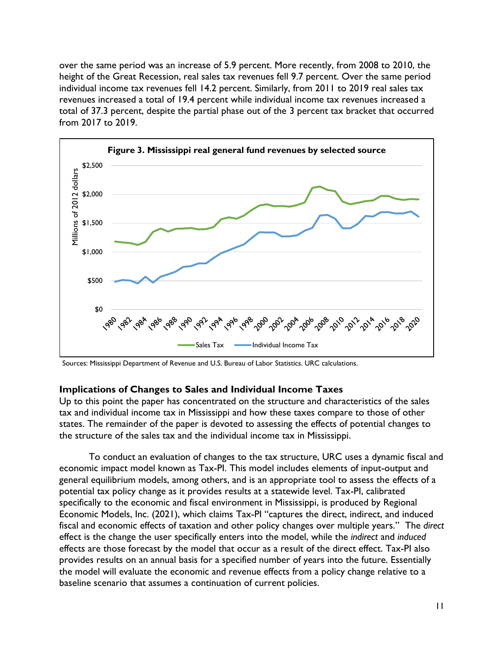over the same period was an increase of 5.9 percent. More recently, from 2008 to 2010, the height of the Great Recession, real sales tax revenues fell 9.7 percent. Over the same period individual income tax revenues fell 14.2 percent. Similarly, from 2011 to 2019 real sales tax revenues increased a total of 19.4 percent while individual income tax revenues increased a total of 37.3 percent, despite the partial phase out of the 3 percent tax bracket that occurred from 2017 to 2019.



Sources: Mississippi Department of Revenue and U.S. Bureau of Labor Statistics. URC calculations.

## **Implications of Changes to Sales and Individual Income Taxes**

Up to this point the paper has concentrated on the structure and characteristics of the sales tax and individual income tax in Mississippi and how these taxes compare to those of other states. The remainder of the paper is devoted to assessing the effects of potential changes to the structure of the sales tax and the individual income tax in Mississippi.

To conduct an evaluation of changes to the tax structure, URC uses a dynamic fiscal and economic impact model known as Tax-PI. This model includes elements of input-output and general equilibrium models, among others, and is an appropriate tool to assess the effects of a potential tax policy change as it provides results at a statewide level. Tax-PI, calibrated specifically to the economic and fiscal environment in Mississippi, is produced by Regional Economic Models, Inc. (2021), which claims Tax-PI "captures the direct, indirect, and induced fiscal and economic effects of taxation and other policy changes over multiple years." The *direct* effect is the change the user specifically enters into the model, while the *indirect* and *induced* effects are those forecast by the model that occur as a result of the direct effect. Tax-PI also provides results on an annual basis for a specified number of years into the future. Essentially the model will evaluate the economic and revenue effects from a policy change relative to a baseline scenario that assumes a continuation of current policies.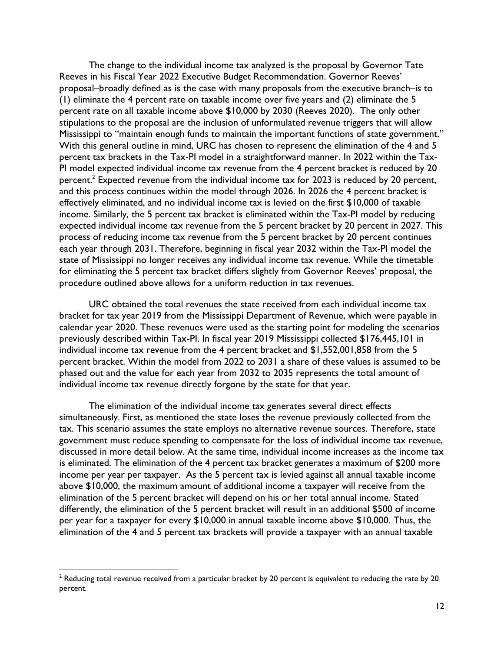The change to the individual income tax analyzed is the proposal by Governor Tate Reeves in his Fiscal Year 2022 Executive Budget Recommendation. Governor Reeves' proposal–broadly defined as is the case with many proposals from the executive branch–is to (1) eliminate the 4 percent rate on taxable income over five years and (2) eliminate the 5 percent rate on all taxable income above \$10,000 by 2030 (Reeves 2020). The only other stipulations to the proposal are the inclusion of unformulated revenue triggers that will allow Mississippi to "maintain enough funds to maintain the important functions of state government." With this general outline in mind, URC has chosen to represent the elimination of the 4 and 5 percent tax brackets in the Tax-PI model in a straightforward manner. In 2022 within the Tax-PI model expected individual income tax revenue from the 4 percent bracket is reduced by 20 percent. $^2$  Expected revenue from the individual income tax for 2023 is reduced by 20 percent, and this process continues within the model through 2026. In 2026 the 4 percent bracket is effectively eliminated, and no individual income tax is levied on the first \$10,000 of taxable income. Similarly, the 5 percent tax bracket is eliminated within the Tax-PI model by reducing expected individual income tax revenue from the 5 percent bracket by 20 percent in 2027. This process of reducing income tax revenue from the 5 percent bracket by 20 percent continues each year through 2031. Therefore, beginning in fiscal year 2032 within the Tax-PI model the state of Mississippi no longer receives any individual income tax revenue. While the timetable for eliminating the 5 percent tax bracket differs slightly from Governor Reeves' proposal, the procedure outlined above allows for a uniform reduction in tax revenues.

URC obtained the total revenues the state received from each individual income tax bracket for tax year 2019 from the Mississippi Department of Revenue, which were payable in calendar year 2020. These revenues were used as the starting point for modeling the scenarios previously described within Tax-PI. In fiscal year 2019 Mississippi collected \$176,445,101 in individual income tax revenue from the 4 percent bracket and \$1,552,001,858 from the 5 percent bracket. Within the model from 2022 to 2031 a share of these values is assumed to be phased out and the value for each year from 2032 to 2035 represents the total amount of individual income tax revenue directly forgone by the state for that year.

The elimination of the individual income tax generates several direct effects simultaneously. First, as mentioned the state loses the revenue previously collected from the tax. This scenario assumes the state employs no alternative revenue sources. Therefore, state government must reduce spending to compensate for the loss of individual income tax revenue, discussed in more detail below. At the same time, individual income increases as the income tax is eliminated. The elimination of the 4 percent tax bracket generates a maximum of \$200 more income per year per taxpayer. As the 5 percent tax is levied against all annual taxable income above \$10,000, the maximum amount of additional income a taxpayer will receive from the elimination of the 5 percent bracket will depend on his or her total annual income. Stated differently, the elimination of the 5 percent bracket will result in an additional \$500 of income per year for a taxpayer for every \$10,000 in annual taxable income above \$10,000. Thus, the elimination of the 4 and 5 percent tax brackets will provide a taxpayer with an annual taxable

 $2$  Reducing total revenue received from a particular bracket by 20 percent is equivalent to reducing the rate by 20 percent.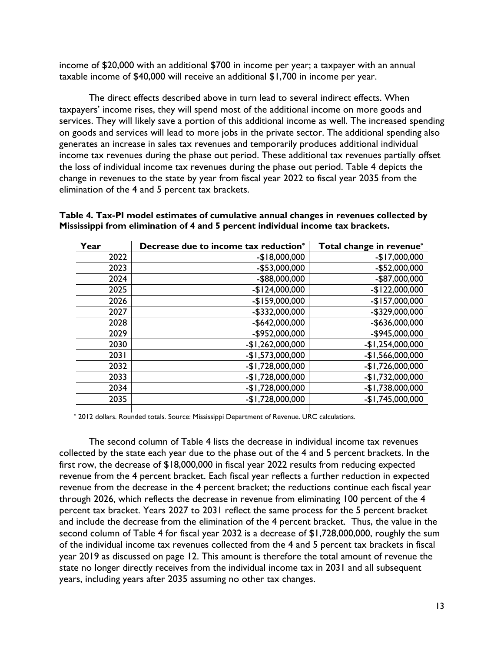income of \$20,000 with an additional \$700 in income per year; a taxpayer with an annual taxable income of \$40,000 will receive an additional \$1,700 in income per year.

The direct effects described above in turn lead to several indirect effects. When taxpayers' income rises, they will spend most of the additional income on more goods and services. They will likely save a portion of this additional income as well. The increased spending on goods and services will lead to more jobs in the private sector. The additional spending also generates an increase in sales tax revenues and temporarily produces additional individual income tax revenues during the phase out period. These additional tax revenues partially offset the loss of individual income tax revenues during the phase out period. Table 4 depicts the change in revenues to the state by year from fiscal year 2022 to fiscal year 2035 from the elimination of the 4 and 5 percent tax brackets.

| Year | Decrease due to income tax reduction* | Total change in revenue* |
|------|---------------------------------------|--------------------------|
| 2022 | $-$18,000,000$                        | $-$17,000,000$           |
| 2023 | $-$53,000,000$                        | $-$52,000,000$           |
| 2024 | -\$88,000,000                         | -\$87,000,000            |
| 2025 | $-$124,000,000$                       | $-$122,000,000$          |
| 2026 | $-$159,000,000$                       | $-$157,000,000$          |
| 2027 | -\$332,000,000                        | -\$329,000,000           |
| 2028 | $-$642,000,000$                       | -\$636,000,000           |
| 2029 | -\$952,000,000                        | -\$945,000,000           |
| 2030 | $-$1,262,000,000$                     | $-$1,254,000,000$        |
| 2031 | $-$1,573,000,000$                     | $-$1,566,000,000$        |
| 2032 | $-$1,728,000,000$                     | $-$1,726,000,000$        |
| 2033 | $-$1,728,000,000$                     | $-$1,732,000,000$        |
| 2034 | $-$1,728,000,000$                     | $-$1,738,000,000$        |
| 2035 | $-$1,728,000,000$                     | $-$1,745,000,000$        |

**Table 4. Tax-PI model estimates of cumulative annual changes in revenues collected by Mississippi from elimination of 4 and 5 percent individual income tax brackets.**

\* 2012 dollars. Rounded totals. Source: Mississippi Department of Revenue. URC calculations.

The second column of Table 4 lists the decrease in individual income tax revenues collected by the state each year due to the phase out of the 4 and 5 percent brackets. In the first row, the decrease of \$18,000,000 in fiscal year 2022 results from reducing expected revenue from the 4 percent bracket. Each fiscal year reflects a further reduction in expected revenue from the decrease in the 4 percent bracket; the reductions continue each fiscal year through 2026, which reflects the decrease in revenue from eliminating 100 percent of the 4 percent tax bracket. Years 2027 to 2031 reflect the same process for the 5 percent bracket and include the decrease from the elimination of the 4 percent bracket. Thus, the value in the second column of Table 4 for fiscal year 2032 is a decrease of \$1,728,000,000, roughly the sum of the individual income tax revenues collected from the 4 and 5 percent tax brackets in fiscal year 2019 as discussed on page 12. This amount is therefore the total amount of revenue the state no longer directly receives from the individual income tax in 2031 and all subsequent years, including years after 2035 assuming no other tax changes.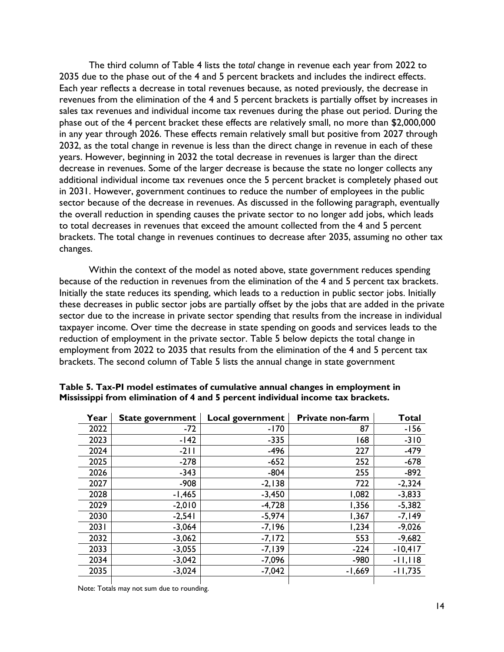The third column of Table 4 lists the *total* change in revenue each year from 2022 to 2035 due to the phase out of the 4 and 5 percent brackets and includes the indirect effects. Each year reflects a decrease in total revenues because, as noted previously, the decrease in revenues from the elimination of the 4 and 5 percent brackets is partially offset by increases in sales tax revenues and individual income tax revenues during the phase out period. During the phase out of the 4 percent bracket these effects are relatively small, no more than \$2,000,000 in any year through 2026. These effects remain relatively small but positive from 2027 through 2032, as the total change in revenue is less than the direct change in revenue in each of these years. However, beginning in 2032 the total decrease in revenues is larger than the direct decrease in revenues. Some of the larger decrease is because the state no longer collects any additional individual income tax revenues once the 5 percent bracket is completely phased out in 2031. However, government continues to reduce the number of employees in the public sector because of the decrease in revenues. As discussed in the following paragraph, eventually the overall reduction in spending causes the private sector to no longer add jobs, which leads to total decreases in revenues that exceed the amount collected from the 4 and 5 percent brackets. The total change in revenues continues to decrease after 2035, assuming no other tax changes.

Within the context of the model as noted above, state government reduces spending because of the reduction in revenues from the elimination of the 4 and 5 percent tax brackets. Initially the state reduces its spending, which leads to a reduction in public sector jobs. Initially these decreases in public sector jobs are partially offset by the jobs that are added in the private sector due to the increase in private sector spending that results from the increase in individual taxpayer income. Over time the decrease in state spending on goods and services leads to the reduction of employment in the private sector. Table 5 below depicts the total change in employment from 2022 to 2035 that results from the elimination of the 4 and 5 percent tax brackets. The second column of Table 5 lists the annual change in state government

| Year | <b>State government</b> | Local government | Private non-farm | <b>Total</b> |
|------|-------------------------|------------------|------------------|--------------|
| 2022 | $-72$                   | $-170$           | 87               | $-156$       |
| 2023 | $-142$                  | $-335$           | 168              | $-310$       |
| 2024 | $-211$                  | $-496$           | 227              | $-479$       |
| 2025 | $-278$                  | $-652$           | 252              | $-678$       |
| 2026 | $-343$                  | $-804$           | 255              | $-892$       |
| 2027 | $-908$                  | $-2,138$         | 722              | $-2,324$     |
| 2028 | $-1,465$                | $-3,450$         | 1,082            | $-3,833$     |
| 2029 | $-2,010$                | $-4,728$         | 1,356            | $-5,382$     |
| 2030 | $-2,541$                | $-5,974$         | 1,367            | $-7,149$     |
| 2031 | $-3,064$                | $-7,196$         | 1,234            | $-9,026$     |
| 2032 | $-3,062$                | $-7,172$         | 553              | $-9,682$     |
| 2033 | $-3,055$                | $-7,139$         | $-224$           | $-10,417$    |
| 2034 | $-3,042$                | $-7,096$         | $-980$           | $-11,118$    |
| 2035 | $-3,024$                | $-7,042$         | $-1,669$         | $-11,735$    |
|      |                         |                  |                  |              |

**Table 5. Tax-PI model estimates of cumulative annual changes in employment in Mississippi from elimination of 4 and 5 percent individual income tax brackets.**

Note: Totals may not sum due to rounding.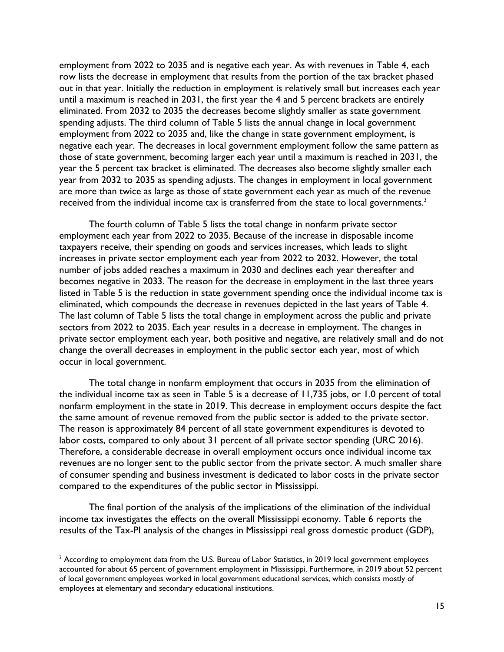employment from 2022 to 2035 and is negative each year. As with revenues in Table 4, each row lists the decrease in employment that results from the portion of the tax bracket phased out in that year. Initially the reduction in employment is relatively small but increases each year until a maximum is reached in 2031, the first year the 4 and 5 percent brackets are entirely eliminated. From 2032 to 2035 the decreases become slightly smaller as state government spending adjusts. The third column of Table 5 lists the annual change in local government employment from 2022 to 2035 and, like the change in state government employment, is negative each year. The decreases in local government employment follow the same pattern as those of state government, becoming larger each year until a maximum is reached in 2031, the year the 5 percent tax bracket is eliminated. The decreases also become slightly smaller each year from 2032 to 2035 as spending adjusts. The changes in employment in local government are more than twice as large as those of state government each year as much of the revenue received from the individual income tax is transferred from the state to local governments.<sup>3</sup>

The fourth column of Table 5 lists the total change in nonfarm private sector employment each year from 2022 to 2035. Because of the increase in disposable income taxpayers receive, their spending on goods and services increases, which leads to slight increases in private sector employment each year from 2022 to 2032. However, the total number of jobs added reaches a maximum in 2030 and declines each year thereafter and becomes negative in 2033. The reason for the decrease in employment in the last three years listed in Table 5 is the reduction in state government spending once the individual income tax is eliminated, which compounds the decrease in revenues depicted in the last years of Table 4. The last column of Table 5 lists the total change in employment across the public and private sectors from 2022 to 2035. Each year results in a decrease in employment. The changes in private sector employment each year, both positive and negative, are relatively small and do not change the overall decreases in employment in the public sector each year, most of which occur in local government.

The total change in nonfarm employment that occurs in 2035 from the elimination of the individual income tax as seen in Table 5 is a decrease of 11,735 jobs, or 1.0 percent of total nonfarm employment in the state in 2019. This decrease in employment occurs despite the fact the same amount of revenue removed from the public sector is added to the private sector. The reason is approximately 84 percent of all state government expenditures is devoted to labor costs, compared to only about 31 percent of all private sector spending (URC 2016). Therefore, a considerable decrease in overall employment occurs once individual income tax revenues are no longer sent to the public sector from the private sector. A much smaller share of consumer spending and business investment is dedicated to labor costs in the private sector compared to the expenditures of the public sector in Mississippi.

The final portion of the analysis of the implications of the elimination of the individual income tax investigates the effects on the overall Mississippi economy. Table 6 reports the results of the Tax-PI analysis of the changes in Mississippi real gross domestic product (GDP),

<sup>&</sup>lt;sup>3</sup> According to employment data from the U.S. Bureau of Labor Statistics, in 2019 local government employees accounted for about 65 percent of government employment in Mississippi. Furthermore, in 2019 about 52 percent of local government employees worked in local government educational services, which consists mostly of employees at elementary and secondary educational institutions.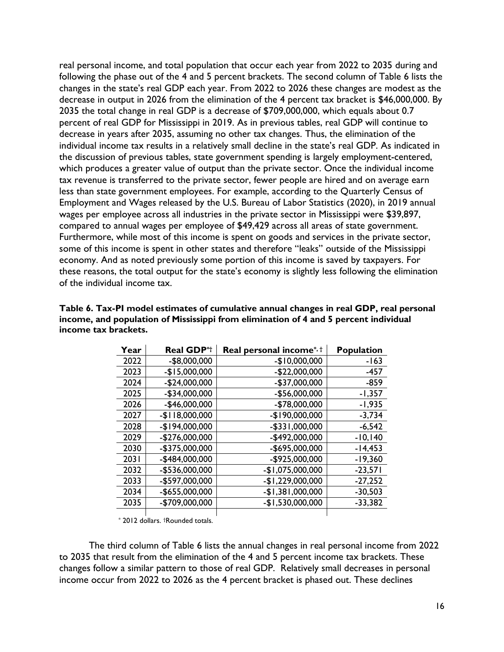real personal income, and total population that occur each year from 2022 to 2035 during and following the phase out of the 4 and 5 percent brackets. The second column of Table 6 lists the changes in the state's real GDP each year. From 2022 to 2026 these changes are modest as the decrease in output in 2026 from the elimination of the 4 percent tax bracket is \$46,000,000. By 2035 the total change in real GDP is a decrease of \$709,000,000, which equals about 0.7 percent of real GDP for Mississippi in 2019. As in previous tables, real GDP will continue to decrease in years after 2035, assuming no other tax changes. Thus, the elimination of the individual income tax results in a relatively small decline in the state's real GDP. As indicated in the discussion of previous tables, state government spending is largely employment-centered, which produces a greater value of output than the private sector. Once the individual income tax revenue is transferred to the private sector, fewer people are hired and on average earn less than state government employees. For example, according to the Quarterly Census of Employment and Wages released by the U.S. Bureau of Labor Statistics (2020), in 2019 annual wages per employee across all industries in the private sector in Mississippi were \$39,897, compared to annual wages per employee of \$49,429 across all areas of state government. Furthermore, while most of this income is spent on goods and services in the private sector, some of this income is spent in other states and therefore "leaks" outside of the Mississippi economy. And as noted previously some portion of this income is saved by taxpayers. For these reasons, the total output for the state's economy is slightly less following the elimination of the individual income tax.

| Year | <b>Real GDP*t</b> | <b>Real personal income</b> <sup>*, †</sup> | <b>Population</b> |
|------|-------------------|---------------------------------------------|-------------------|
| 2022 | $-$8,000,000$     | $-$10,000,000$                              | $-163$            |
| 2023 | $-$15,000,000$    | $-$22,000,000$                              | -457              |
| 2024 | $-$24,000,000$    | -\$37,000,000                               | $-859$            |
| 2025 | $-$34,000,000$    | -\$56,000,000                               | $-1,357$          |
| 2026 | $-$46,000,000$    | -\$78,000,000                               | $-1,935$          |
| 2027 | $-$118,000,000$   | -\$190,000,000                              | $-3,734$          |
| 2028 | $-$194,000,000$   | -\$331,000,000                              | $-6,542$          |
| 2029 | $-$276,000,000$   | -\$492,000,000                              | $-10,140$         |
| 2030 | -\$375,000,000    | -\$695,000,000                              | $-14,453$         |
| 2031 | -\$484,000,000    | -\$925,000,000                              | $-19,360$         |
| 2032 | -\$536,000,000    | -\$1,075,000,000                            | $-23,571$         |
| 2033 | -\$597,000,000    | $-$1,229,000,000$                           | $-27,252$         |
| 2034 | -\$655,000,000    | $-$1,381,000,000$                           | $-30,503$         |
| 2035 | -\$709,000,000    | $-$1,530,000,000$                           | $-33,382$         |
|      |                   |                                             |                   |

**Table 6. Tax-PI model estimates of cumulative annual changes in real GDP, real personal income, and population of Mississippi from elimination of 4 and 5 percent individual income tax brackets.**

\* 2012 dollars. †Rounded totals.

The third column of Table 6 lists the annual changes in real personal income from 2022 to 2035 that result from the elimination of the 4 and 5 percent income tax brackets. These changes follow a similar pattern to those of real GDP. Relatively small decreases in personal income occur from 2022 to 2026 as the 4 percent bracket is phased out. These declines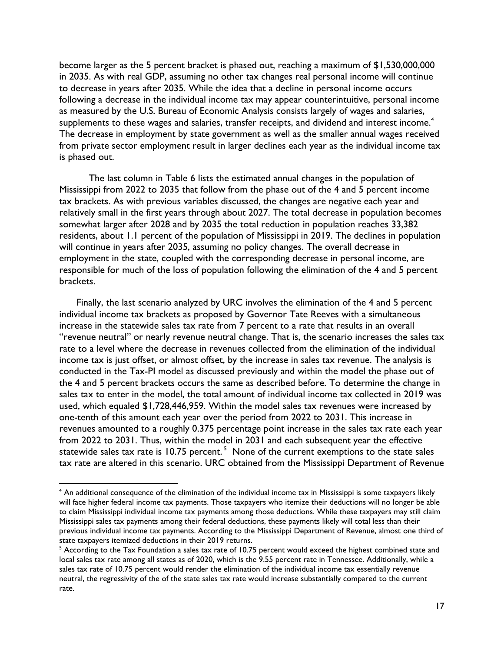become larger as the 5 percent bracket is phased out, reaching a maximum of \$1,530,000,000 in 2035. As with real GDP, assuming no other tax changes real personal income will continue to decrease in years after 2035. While the idea that a decline in personal income occurs following a decrease in the individual income tax may appear counterintuitive, personal income as measured by the U.S. Bureau of Economic Analysis consists largely of wages and salaries, supplements to these wages and salaries, transfer receipts, and dividend and interest income.<sup>4</sup> The decrease in employment by state government as well as the smaller annual wages received from private sector employment result in larger declines each year as the individual income tax is phased out.

The last column in Table 6 lists the estimated annual changes in the population of Mississippi from 2022 to 2035 that follow from the phase out of the 4 and 5 percent income tax brackets. As with previous variables discussed, the changes are negative each year and relatively small in the first years through about 2027. The total decrease in population becomes somewhat larger after 2028 and by 2035 the total reduction in population reaches 33,382 residents, about 1.1 percent of the population of Mississippi in 2019. The declines in population will continue in years after 2035, assuming no policy changes. The overall decrease in employment in the state, coupled with the corresponding decrease in personal income, are responsible for much of the loss of population following the elimination of the 4 and 5 percent brackets.

Finally, the last scenario analyzed by URC involves the elimination of the 4 and 5 percent individual income tax brackets as proposed by Governor Tate Reeves with a simultaneous increase in the statewide sales tax rate from 7 percent to a rate that results in an overall "revenue neutral" or nearly revenue neutral change. That is, the scenario increases the sales tax rate to a level where the decrease in revenues collected from the elimination of the individual income tax is just offset, or almost offset, by the increase in sales tax revenue. The analysis is conducted in the Tax-PI model as discussed previously and within the model the phase out of the 4 and 5 percent brackets occurs the same as described before. To determine the change in sales tax to enter in the model, the total amount of individual income tax collected in 2019 was used, which equaled \$1,728,446,959. Within the model sales tax revenues were increased by one-tenth of this amount each year over the period from 2022 to 2031. This increase in revenues amounted to a roughly 0.375 percentage point increase in the sales tax rate each year from 2022 to 2031. Thus, within the model in 2031 and each subsequent year the effective statewide sales tax rate is 10.75 percent.<sup>5</sup> None of the current exemptions to the state sales tax rate are altered in this scenario. URC obtained from the Mississippi Department of Revenue

<sup>4</sup> An additional consequence of the elimination of the individual income tax in Mississippi is some taxpayers likely will face higher federal income tax payments. Those taxpayers who itemize their deductions will no longer be able to claim Mississippi individual income tax payments among those deductions. While these taxpayers may still claim Mississippi sales tax payments among their federal deductions, these payments likely will total less than their previous individual income tax payments. According to the Mississippi Department of Revenue, almost one third of state taxpayers itemized deductions in their 2019 returns.

<sup>5</sup> According to the Tax Foundation a sales tax rate of 10.75 percent would exceed the highest combined state and local sales tax rate among all states as of 2020, which is the 9.55 percent rate in Tennessee. Additionally, while a sales tax rate of 10.75 percent would render the elimination of the individual income tax essentially revenue neutral, the regressivity of the of the state sales tax rate would increase substantially compared to the current rate.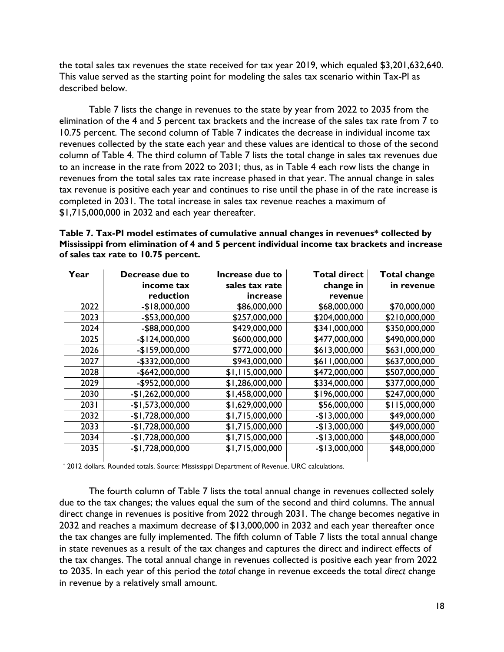the total sales tax revenues the state received for tax year 2019, which equaled \$3,201,632,640. This value served as the starting point for modeling the sales tax scenario within Tax-PI as described below.

Table 7 lists the change in revenues to the state by year from 2022 to 2035 from the elimination of the 4 and 5 percent tax brackets and the increase of the sales tax rate from 7 to 10.75 percent. The second column of Table 7 indicates the decrease in individual income tax revenues collected by the state each year and these values are identical to those of the second column of Table 4. The third column of Table 7 lists the total change in sales tax revenues due to an increase in the rate from 2022 to 2031; thus, as in Table 4 each row lists the change in revenues from the total sales tax rate increase phased in that year. The annual change in sales tax revenue is positive each year and continues to rise until the phase in of the rate increase is completed in 2031. The total increase in sales tax revenue reaches a maximum of \$1,715,000,000 in 2032 and each year thereafter.

**Table 7. Tax-PI model estimates of cumulative annual changes in revenues\* collected by Mississippi from elimination of 4 and 5 percent individual income tax brackets and increase of sales tax rate to 10.75 percent.**

| Year             | Decrease due to   | Increase due to | <b>Total direct</b> | <b>Total change</b> |
|------------------|-------------------|-----------------|---------------------|---------------------|
|                  | income tax        | sales tax rate  | change in           | in revenue          |
|                  | reduction         | increase        | revenue             |                     |
| 2022             | $-$18,000,000$    | \$86,000,000    | \$68,000,000        | \$70,000,000        |
| 2023             | $-$ \$53,000,000  | \$257,000,000   | \$204,000,000       | \$210,000,000       |
| 2024             | -\$88,000,000     | \$429,000,000   | \$341,000,000       | \$350,000,000       |
| 2025             | $-$124,000,000$   | \$600,000,000   | \$477,000,000       | \$490,000,000       |
| 2026             | $-$159,000,000$   | \$772,000,000   | \$613,000,000       | \$631,000,000       |
| 2027             | $-$ \$332,000,000 | \$943,000,000   | \$611,000,000       | \$637,000,000       |
| 2028             | $-$642,000,000$   | \$1,115,000,000 | \$472,000,000       | \$507,000,000       |
| 2029             | -\$952,000,000    | \$1,286,000,000 | \$334,000,000       | \$377,000,000       |
| 2030             | $-$1,262,000,000$ | \$1,458,000,000 | \$196,000,000       | \$247,000,000       |
| 203 <sub>1</sub> | $-$1,573,000,000$ | \$1,629,000,000 | \$56,000,000        | \$115,000,000       |
| 2032             | $-$1,728,000,000$ | \$1,715,000,000 | $-$13,000,000$      | \$49,000,000        |
| 2033             | $-$1,728,000,000$ | \$1,715,000,000 | $-$13,000,000$      | \$49,000,000        |
| 2034             | $-$1,728,000,000$ | \$1,715,000,000 | $-$13,000,000$      | \$48,000,000        |
| 2035             | $-$1,728,000,000$ | \$1,715,000,000 | $-$13,000,000$      | \$48,000,000        |
|                  |                   |                 |                     |                     |

\* 2012 dollars. Rounded totals. Source: Mississippi Department of Revenue. URC calculations.

The fourth column of Table 7 lists the total annual change in revenues collected solely due to the tax changes; the values equal the sum of the second and third columns. The annual direct change in revenues is positive from 2022 through 2031. The change becomes negative in 2032 and reaches a maximum decrease of \$13,000,000 in 2032 and each year thereafter once the tax changes are fully implemented. The fifth column of Table 7 lists the total annual change in state revenues as a result of the tax changes and captures the direct and indirect effects of the tax changes. The total annual change in revenues collected is positive each year from 2022 to 2035. In each year of this period the *total* change in revenue exceeds the total *direct* change in revenue by a relatively small amount.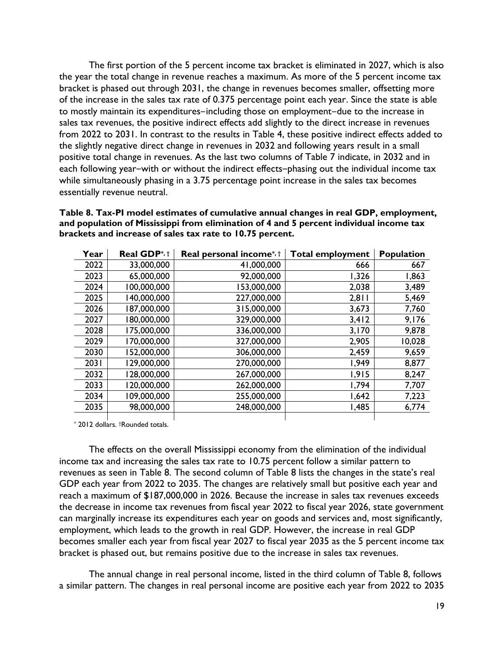The first portion of the 5 percent income tax bracket is eliminated in 2027, which is also the year the total change in revenue reaches a maximum. As more of the 5 percent income tax bracket is phased out through 2031, the change in revenues becomes smaller, offsetting more of the increase in the sales tax rate of 0.375 percentage point each year. Since the state is able to mostly maintain its expenditures-including those on employment-due to the increase in sales tax revenues, the positive indirect effects add slightly to the direct increase in revenues from 2022 to 2031. In contrast to the results in Table 4, these positive indirect effects added to the slightly negative direct change in revenues in 2032 and following years result in a small positive total change in revenues. As the last two columns of Table 7 indicate, in 2032 and in each following year-with or without the indirect effects-phasing out the individual income tax while simultaneously phasing in a 3.75 percentage point increase in the sales tax becomes essentially revenue neutral.

**Table 8. Tax-PI model estimates of cumulative annual changes in real GDP, employment, and population of Mississippi from elimination of 4 and 5 percent individual income tax brackets and increase of sales tax rate to 10.75 percent.**

| Year | Real GDP*, t | Real personal income <sup>*, †</sup> | <b>Total employment</b> | <b>Population</b> |
|------|--------------|--------------------------------------|-------------------------|-------------------|
| 2022 | 33,000,000   | 41,000,000                           | 666                     | 667               |
| 2023 | 65,000,000   | 92,000,000                           | 1,326                   | 1,863             |
| 2024 | 100,000,000  | 53,000,000                           | 2,038                   | 3,489             |
| 2025 | 140,000,000  | 227,000,000                          | 2,811                   | 5,469             |
| 2026 | 187,000,000  | 315,000,000                          | 3,673                   | 7,760             |
| 2027 | 180,000,000  | 329,000,000                          | 3,412                   | 9,176             |
| 2028 | 175,000,000  | 336,000,000                          | 3,170                   | 9,878             |
| 2029 | 170,000,000  | 327,000,000                          | 2,905                   | 10,028            |
| 2030 | 152,000,000  | 306,000,000                          | 2,459                   | 9,659             |
| 2031 | 129,000,000  | 270,000,000                          | 1,949                   | 8,877             |
| 2032 | 128,000,000  | 267,000,000                          | 1,915                   | 8,247             |
| 2033 | 120,000,000  | 262,000,000                          | 1,794                   | 7,707             |
| 2034 | 109,000,000  | 255,000,000                          | 1,642                   | 7,223             |
| 2035 | 98,000,000   | 248,000,000                          | 1,485                   | 6,774             |
|      |              |                                      |                         |                   |

\* 2012 dollars. †Rounded totals.

The effects on the overall Mississippi economy from the elimination of the individual income tax and increasing the sales tax rate to 10.75 percent follow a similar pattern to revenues as seen in Table 8. The second column of Table 8 lists the changes in the state's real GDP each year from 2022 to 2035. The changes are relatively small but positive each year and reach a maximum of \$187,000,000 in 2026. Because the increase in sales tax revenues exceeds the decrease in income tax revenues from fiscal year 2022 to fiscal year 2026, state government can marginally increase its expenditures each year on goods and services and, most significantly, employment, which leads to the growth in real GDP. However, the increase in real GDP becomes smaller each year from fiscal year 2027 to fiscal year 2035 as the 5 percent income tax bracket is phased out, but remains positive due to the increase in sales tax revenues.

The annual change in real personal income, listed in the third column of Table 8, follows a similar pattern. The changes in real personal income are positive each year from 2022 to 2035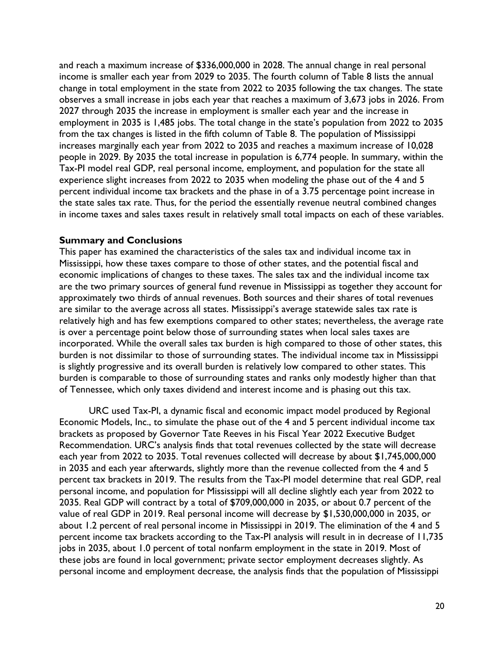and reach a maximum increase of \$336,000,000 in 2028. The annual change in real personal income is smaller each year from 2029 to 2035. The fourth column of Table 8 lists the annual change in total employment in the state from 2022 to 2035 following the tax changes. The state observes a small increase in jobs each year that reaches a maximum of 3,673 jobs in 2026. From 2027 through 2035 the increase in employment is smaller each year and the increase in employment in 2035 is 1,485 jobs. The total change in the state's population from 2022 to 2035 from the tax changes is listed in the fifth column of Table 8. The population of Mississippi increases marginally each year from 2022 to 2035 and reaches a maximum increase of 10,028 people in 2029. By 2035 the total increase in population is 6,774 people. In summary, within the Tax-PI model real GDP, real personal income, employment, and population for the state all experience slight increases from 2022 to 2035 when modeling the phase out of the 4 and 5 percent individual income tax brackets and the phase in of a 3.75 percentage point increase in the state sales tax rate. Thus, for the period the essentially revenue neutral combined changes in income taxes and sales taxes result in relatively small total impacts on each of these variables.

#### **Summary and Conclusions**

This paper has examined the characteristics of the sales tax and individual income tax in Mississippi, how these taxes compare to those of other states, and the potential fiscal and economic implications of changes to these taxes. The sales tax and the individual income tax are the two primary sources of general fund revenue in Mississippi as together they account for approximately two thirds of annual revenues. Both sources and their shares of total revenues are similar to the average across all states. Mississippi's average statewide sales tax rate is relatively high and has few exemptions compared to other states; nevertheless, the average rate is over a percentage point below those of surrounding states when local sales taxes are incorporated. While the overall sales tax burden is high compared to those of other states, this burden is not dissimilar to those of surrounding states. The individual income tax in Mississippi is slightly progressive and its overall burden is relatively low compared to other states. This burden is comparable to those of surrounding states and ranks only modestly higher than that of Tennessee, which only taxes dividend and interest income and is phasing out this tax.

URC used Tax-PI, a dynamic fiscal and economic impact model produced by Regional Economic Models, Inc., to simulate the phase out of the 4 and 5 percent individual income tax brackets as proposed by Governor Tate Reeves in his Fiscal Year 2022 Executive Budget Recommendation. URC's analysis finds that total revenues collected by the state will decrease each year from 2022 to 2035. Total revenues collected will decrease by about \$1,745,000,000 in 2035 and each year afterwards, slightly more than the revenue collected from the 4 and 5 percent tax brackets in 2019. The results from the Tax-PI model determine that real GDP, real personal income, and population for Mississippi will all decline slightly each year from 2022 to 2035. Real GDP will contract by a total of \$709,000,000 in 2035, or about 0.7 percent of the value of real GDP in 2019. Real personal income will decrease by \$1,530,000,000 in 2035, or about 1.2 percent of real personal income in Mississippi in 2019. The elimination of the 4 and 5 percent income tax brackets according to the Tax-PI analysis will result in in decrease of 11,735 jobs in 2035, about 1.0 percent of total nonfarm employment in the state in 2019. Most of these jobs are found in local government; private sector employment decreases slightly. As personal income and employment decrease, the analysis finds that the population of Mississippi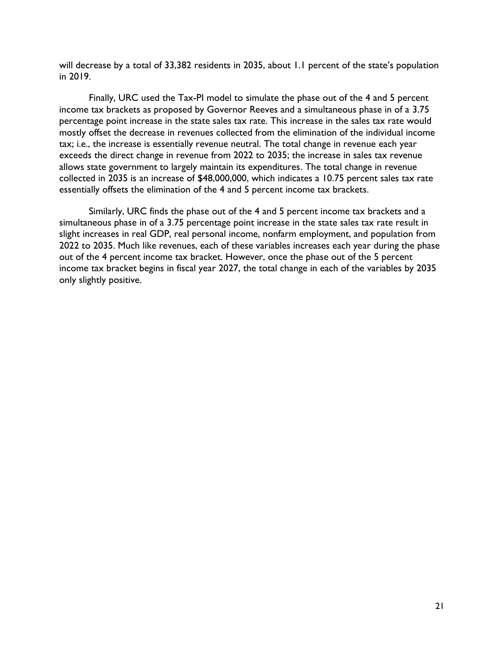will decrease by a total of 33,382 residents in 2035, about 1.1 percent of the state's population in 2019.

Finally, URC used the Tax-PI model to simulate the phase out of the 4 and 5 percent income tax brackets as proposed by Governor Reeves and a simultaneous phase in of a 3.75 percentage point increase in the state sales tax rate. This increase in the sales tax rate would mostly offset the decrease in revenues collected from the elimination of the individual income tax; i.e., the increase is essentially revenue neutral. The total change in revenue each year exceeds the direct change in revenue from 2022 to 2035; the increase in sales tax revenue allows state government to largely maintain its expenditures. The total change in revenue collected in 2035 is an increase of \$48,000,000, which indicates a 10.75 percent sales tax rate essentially offsets the elimination of the 4 and 5 percent income tax brackets.

Similarly, URC finds the phase out of the 4 and 5 percent income tax brackets and a simultaneous phase in of a 3.75 percentage point increase in the state sales tax rate result in slight increases in real GDP, real personal income, nonfarm employment, and population from 2022 to 2035. Much like revenues, each of these variables increases each year during the phase out of the 4 percent income tax bracket. However, once the phase out of the 5 percent income tax bracket begins in fiscal year 2027, the total change in each of the variables by 2035 only slightly positive.